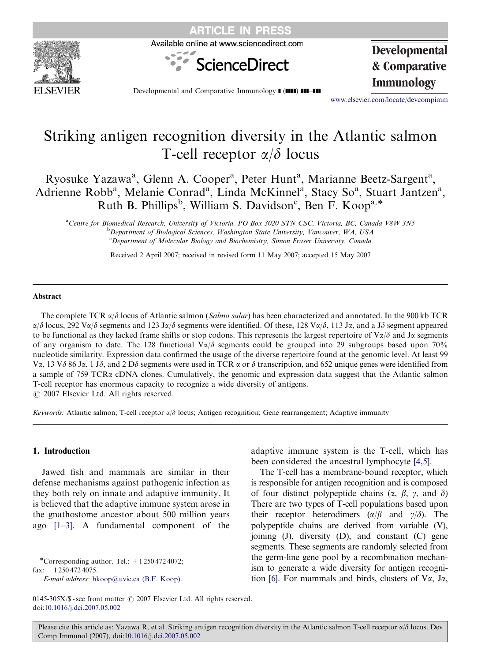

Available online at www.sciencedirect.com



**Developmental & Comparative**

Developmental and Comparative Immunology **1 (IIII) 111-111 Immunology** 

<www.elsevier.com/locate/devcompimm>

# Striking antigen recognition diversity in the Atlantic salmon T-cell receptor  $\alpha/\delta$  locus

Ryosuke Yazawa<sup>a</sup>, Glenn A. Cooper<sup>a</sup>, Peter Hunt<sup>a</sup>, Marianne Beetz-Sargent<sup>a</sup>, Adrienne Robb<sup>a</sup>, Melanie Conrad<sup>a</sup>, Linda McKinnel<sup>a</sup>, Stacy So<sup>a</sup>, Stuart Jantzen<sup>a</sup>, Ruth B. Phillips<sup>b</sup>, William S. Davidson<sup>c</sup>, Ben F. Koop<sup>a,\*</sup>

a<br>Centre for Biomedical Research, University of Victoria, PO Box 3020 STN CSC, Victoria, BC, Canada V8W 3N5 **b** Department of Biological Sciences, Washington State University, Vancouver, WA, USA <sup>c</sup>Department of Molecular Biology and Biochemistry, Simon Fraser University, Canada

Received 2 April 2007; received in revised form 11 May 2007; accepted 15 May 2007

#### Abstract

The complete TCR  $\alpha/\delta$  locus of Atlantic salmon (Salmo salar) has been characterized and annotated. In the 900 kb TCR  $\alpha/\delta$  locus, 292 V $\alpha/\delta$  segments and 123 J $\alpha/\delta$  segments were identified. Of these, 128 V $\alpha/\delta$ , 113 J $\alpha$ , and a J $\delta$  segment appeared to be functional as they lacked frame shifts or stop codons. This represents the largest repertoire of  $V\alpha/\delta$  and J $\alpha$  segments of any organism to date. The 128 functional  $\sqrt{\alpha}/\delta$  segments could be grouped into 29 subgroups based upon 70% nucleotide similarity. Expression data confirmed the usage of the diverse repertoire found at the genomic level. At least 99 Va, 13 V $\delta$  86 Ja, 1 J $\delta$ , and 2 D $\delta$  segments were used in TCR  $\alpha$  or  $\delta$  transcription, and 652 unique genes were identified from a sample of 759 TCR $\alpha$  cDNA clones. Cumulatively, the genomic and expression data suggest that the Atlantic salmon T-cell receptor has enormous capacity to recognize a wide diversity of antigens.

 $O$  2007 Elsevier Ltd. All rights reserved.

Keywords: Atlantic salmon; T-cell receptor  $\alpha/\delta$  locus; Antigen recognition; Gene rearrangement; Adaptive immunity

## 1. Introduction

Jawed fish and mammals are similar in their defense mechanisms against pathogenic infection as they both rely on innate and adaptive immunity. It is believed that the adaptive immune system arose in the gnathostome ancestor about 500 million years ago [\[1–3\]](#page-8-0). A fundamental component of the

-Corresponding author. Tel.: +1 250 472 4072; fax: +1 250 472 4075.

E-mail address: [bkoop@uvic.ca \(B.F. Koop\).](mailto:bkoop@uvic.ca)

adaptive immune system is the T-cell, which has been considered the ancestral lymphocyte [\[4,5\].](#page-8-0)

The T-cell has a membrane-bound receptor, which is responsible for antigen recognition and is composed of four distinct polypeptide chains  $(\alpha, \beta, \gamma, \alpha)$ There are two types of T-cell populations based upon their receptor heterodimers  $(\alpha/\beta \text{ and } \gamma/\delta)$ . The polypeptide chains are derived from variable (V), joining (J), diversity (D), and constant (C) gene segments. These segments are randomly selected from the germ-line gene pool by a recombination mechanism to generate a wide diversity for antigen recogni-tion [\[6\].](#page-8-0) For mammals and birds, clusters of  $V\alpha$ , J $\alpha$ ,

<sup>0145-305</sup>X/\$ - see front matter  $\odot$  2007 Elsevier Ltd. All rights reserved. doi:[10.1016/j.dci.2007.05.002](dx.doi.org/10.1016/j.dci.2007.05.002)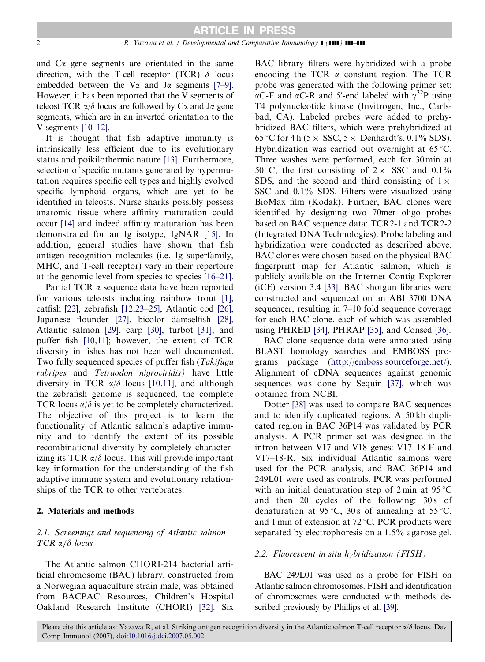and  $C\alpha$  gene segments are orientated in the same direction, with the T-cell receptor (TCR)  $\delta$  locus embedded between the V $\alpha$  and J $\alpha$  segments [\[7–9\].](#page-8-0) However, it has been reported that the V segments of teleost TCR  $\alpha/\delta$  locus are followed by C $\alpha$  and J $\alpha$  gene segments, which are in an inverted orientation to the V segments  $[10-12]$ .

It is thought that fish adaptive immunity is intrinsically less efficient due to its evolutionary status and poikilothermic nature [\[13\].](#page-9-0) Furthermore, selection of specific mutants generated by hypermutation requires specific cell types and highly evolved specific lymphoid organs, which are yet to be identified in teleosts. Nurse sharks possibly possess anatomic tissue where affinity maturation could occur [\[14\]](#page-9-0) and indeed affinity maturation has been demonstrated for an Ig isotype, IgNAR [\[15\].](#page-9-0) In addition, general studies have shown that fish antigen recognition molecules (i.e. Ig superfamily, MHC, and T-cell receptor) vary in their repertoire at the genomic level from species to species [\[16–21\].](#page-9-0)

Partial TCR  $\alpha$  sequence data have been reported for various teleosts including rainbow trout [\[1\],](#page-8-0) catfish [\[22\]](#page-9-0), zebrafish [\[12,23–25\],](#page-9-0) Atlantic cod [\[26\],](#page-9-0) Japanese flounder [\[27\],](#page-9-0) bicolor damselfish [\[28\],](#page-9-0) Atlantic salmon [\[29\]](#page-9-0), carp [\[30\]](#page-9-0), turbot [\[31\],](#page-9-0) and puffer fish [\[10,11\];](#page-9-0) however, the extent of TCR diversity in fishes has not been well documented. Two fully sequenced species of puffer fish (Takifugu rubripes and Tetraodon nigroviridis) have little diversity in TCR  $\alpha/\delta$  locus [\[10,11\],](#page-9-0) and although the zebrafish genome is sequenced, the complete TCR locus  $\alpha/\delta$  is yet to be completely characterized. The objective of this project is to learn the functionality of Atlantic salmon's adaptive immunity and to identify the extent of its possible recombinational diversity by completely characterizing its TCR  $\alpha/\delta$  locus. This will provide important key information for the understanding of the fish adaptive immune system and evolutionary relationships of the TCR to other vertebrates.

## 2. Materials and methods

# 2.1. Screenings and sequencing of Atlantic salmon  $TCR \alpha/\delta$  locus

The Atlantic salmon CHORI-214 bacterial artificial chromosome (BAC) library, constructed from a Norwegian aquaculture strain male, was obtained from BACPAC Resources, Children's Hospital Oakland Research Institute (CHORI) [\[32\]](#page-9-0). Six BAC library filters were hybridized with a probe encoding the TCR  $\alpha$  constant region. The TCR probe was generated with the following primer set:  $\alpha$ C-F and  $\alpha$ C-R and 5'-end labeled with  $\gamma^{32}P$  using T4 polynucleotide kinase (Invitrogen, Inc., Carlsbad, CA). Labeled probes were added to prehybridized BAC filters, which were prehybridized at 65 °C for 4 h (5  $\times$  SSC, 5  $\times$  Denhardt's, 0.1% SDS). Hybridization was carried out overnight at  $65^{\circ}$ C. Three washes were performed, each for 30 min at 50 °C, the first consisting of  $2 \times$  SSC and 0.1% SDS, and the second and third consisting of  $1 \times$ SSC and 0.1% SDS. Filters were visualized using BioMax film (Kodak). Further, BAC clones were identified by designing two 70mer oligo probes based on BAC sequence data: TCR2-1 and TCR2-2 (Integrated DNA Technologies). Probe labeling and hybridization were conducted as described above. BAC clones were chosen based on the physical BAC fingerprint map for Atlantic salmon, which is publicly available on the Internet Contig Explorer (iCE) version 3.4 [\[33\].](#page-9-0) BAC shotgun libraries were constructed and sequenced on an ABI 3700 DNA sequencer, resulting in 7–10 fold sequence coverage for each BAC clone, each of which was assembled using PHRED [\[34\],](#page-9-0) PHRAP [\[35\]](#page-9-0), and Consed [\[36\].](#page-9-0)

BAC clone sequence data were annotated using BLAST homology searches and EMBOSS programs package (<http://emboss.sourceforge.net/>). Alignment of cDNA sequences against genomic sequences was done by Sequin [\[37\],](#page-9-0) which was obtained from NCBI.

Dotter [\[38\]](#page-9-0) was used to compare BAC sequences and to identify duplicated regions. A 50 kb duplicated region in BAC 36P14 was validated by PCR analysis. A PCR primer set was designed in the intron between V17 and V18 genes: V17–18-F and V17–18-R. Six individual Atlantic salmons were used for the PCR analysis, and BAC 36P14 and 249L01 were used as controls. PCR was performed with an initial denaturation step of  $2 \text{ min}$  at  $95 \degree C$ and then 20 cycles of the following: 30s of denaturation at 95 °C, 30 s of annealing at 55 °C, and 1 min of extension at  $72^{\circ}$ C. PCR products were separated by electrophoresis on a 1.5% agarose gel.

#### 2.2. Fluorescent in situ hybridization (FISH)

BAC 249L01 was used as a probe for FISH on Atlantic salmon chromosomes. FISH and identification of chromosomes were conducted with methods described previously by Phillips et al. [\[39\]](#page-9-0).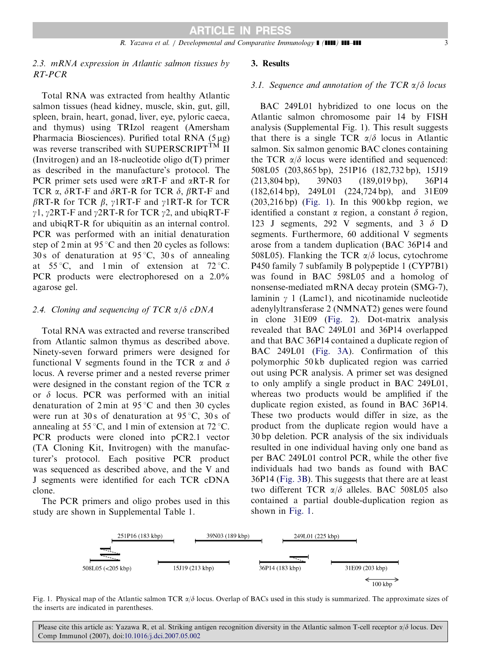# 2.3. mRNA expression in Atlantic salmon tissues by RT-PCR

Total RNA was extracted from healthy Atlantic salmon tissues (head kidney, muscle, skin, gut, gill, spleen, brain, heart, gonad, liver, eye, pyloric caeca, and thymus) using TRIzol reagent (Amersham Pharmacia Biosciences). Purified total RNA  $(5 \mu g)$ was reverse transcribed with SUPERSCRIPT<sup>TM</sup> II (Invitrogen) and an 18-nucleotide oligo d(T) primer as described in the manufacture's protocol. The PCR primer sets used were  $\alpha RT-F$  and  $\alpha RT-R$  for TCR  $\alpha$ ,  $\delta$ RT-F and  $\delta$ RT-R for TCR  $\delta$ ,  $\beta$ RT-F and  $\beta$ RT-R for TCR  $\beta$ ,  $\gamma$ 1RT-F and  $\gamma$ 1RT-R for TCR  $\gamma$ 1,  $\gamma$ 2RT-F and  $\gamma$ 2RT-R for TCR  $\gamma$ 2, and ubiqRT-F and ubiqRT-R for ubiquitin as an internal control. PCR was performed with an initial denaturation step of  $2 \text{ min}$  at  $95 \degree C$  and then  $20$  cycles as follows: 30 s of denaturation at  $95^{\circ}$ C, 30 s of annealing at  $55^{\circ}$ C, and 1 min of extension at  $72^{\circ}$ C. PCR products were electrophoresed on a 2.0% agarose gel.

## 2.4. Cloning and sequencing of TCR  $\alpha/\delta$  cDNA

Total RNA was extracted and reverse transcribed from Atlantic salmon thymus as described above. Ninety-seven forward primers were designed for functional V segments found in the TCR  $\alpha$  and  $\delta$ locus. A reverse primer and a nested reverse primer were designed in the constant region of the TCR  $\alpha$ or  $\delta$  locus. PCR was performed with an initial denaturation of  $2 \text{ min}$  at  $95^{\circ}$ C and then 30 cycles were run at 30 s of denaturation at  $95^{\circ}$ C, 30 s of annealing at 55 °C, and 1 min of extension at 72 °C. PCR products were cloned into pCR2.1 vector (TA Cloning Kit, Invitrogen) with the manufacturer's protocol. Each positive PCR product was sequenced as described above, and the V and J segments were identified for each TCR cDNA clone.

The PCR primers and oligo probes used in this study are shown in Supplemental Table 1.

# 3. Results

#### 3.1. Sequence and annotation of the TCR  $\alpha/\delta$  locus

BAC 249L01 hybridized to one locus on the Atlantic salmon chromosome pair 14 by FISH analysis (Supplemental Fig. 1). This result suggests that there is a single TCR  $\alpha/\delta$  locus in Atlantic salmon. Six salmon genomic BAC clones containing the TCR  $\alpha/\delta$  locus were identified and sequenced: 508L05 (203,865 bp), 251P16 (182,732 bp), 15J19 (213,804 bp), 39N03 (189,019 bp), 36P14 (182,614 bp), 249L01 (224,724 bp), and 31E09  $(203,216 \text{ bp})$  (Fig. 1). In this 900 kbp region, we identified a constant  $\alpha$  region, a constant  $\delta$  region, 123 J segments, 292 V segments, and  $3\delta$  D segments. Furthermore, 60 additional V segments arose from a tandem duplication (BAC 36P14 and 508L05). Flanking the TCR  $\alpha/\delta$  locus, cytochrome P450 family 7 subfamily B polypeptide 1 (CYP7B1) was found in BAC 598L05 and a homolog of nonsense-mediated mRNA decay protein (SMG-7), laminin  $\gamma$  1 (Lamc1), and nicotinamide nucleotide adenylyltransferase 2 (NMNAT2) genes were found in clone 31E09 ([Fig. 2](#page-3-0)). Dot-matrix analysis revealed that BAC 249L01 and 36P14 overlapped and that BAC 36P14 contained a duplicate region of BAC 249L01 [\(Fig. 3A\)](#page-3-0). Confirmation of this polymorphic 50 kb duplicated region was carried out using PCR analysis. A primer set was designed to only amplify a single product in BAC 249L01, whereas two products would be amplified if the duplicate region existed, as found in BAC 36P14. These two products would differ in size, as the product from the duplicate region would have a 30 bp deletion. PCR analysis of the six individuals resulted in one individual having only one band as per BAC 249L01 control PCR, while the other five individuals had two bands as found with BAC 36P14 ([Fig. 3B](#page-3-0)). This suggests that there are at least two different TCR  $\alpha/\delta$  alleles. BAC 508L05 also contained a partial double-duplication region as shown in Fig. 1.



Fig. 1. Physical map of the Atlantic salmon TCR  $\alpha/\delta$  locus. Overlap of BACs used in this study is summarized. The approximate sizes of the inserts are indicated in parentheses.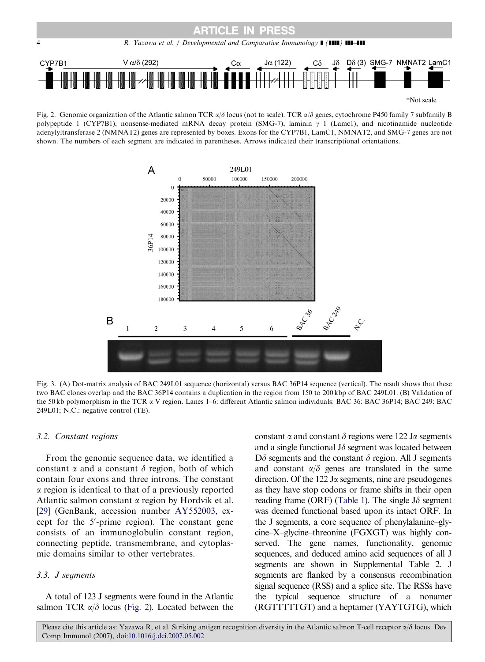<span id="page-3-0"></span>

Fig. 2. Genomic organization of the Atlantic salmon TCR  $\alpha/\delta$  locus (not to scale). TCR  $\alpha/\delta$  genes, cytochrome P450 family 7 subfamily B polypeptide 1 (CYP7B1), nonsense-mediated mRNA decay protein (SMG-7), laminin  $\gamma$  1 (Lamc1), and nicotinamide nucleotide adenylyltransferase 2 (NMNAT2) genes are represented by boxes. Exons for the CYP7B1, LamC1, NMNAT2, and SMG-7 genes are not shown. The numbers of each segment are indicated in parentheses. Arrows indicated their transcriptional orientations.



Fig. 3. (A) Dot-matrix analysis of BAC 249L01 sequence (horizontal) versus BAC 36P14 sequence (vertical). The result shows that these two BAC clones overlap and the BAC 36P14 contains a duplication in the region from 150 to 200 kbp of BAC 249L01. (B) Validation of the 50 kb polymorphism in the TCR a V region. Lanes 1–6: different Atlantic salmon individuals: BAC 36: BAC 36P14; BAC 249: BAC 249L01; N.C.: negative control (TE).

## 3.2. Constant regions

From the genomic sequence data, we identified a constant  $\alpha$  and a constant  $\delta$  region, both of which contain four exons and three introns. The constant  $\alpha$  region is identical to that of a previously reported Atlantic salmon constant  $\alpha$  region by Hordvik et al. [\[29\]](#page-9-0) (GenBank, accession number AY552003, except for the 5'-prime region). The constant gene consists of an immunoglobulin constant region, connecting peptide, transmembrane, and cytoplasmic domains similar to other vertebrates.

## 3.3. J segments

A total of 123 J segments were found in the Atlantic salmon TCR  $\alpha/\delta$  locus (Fig. 2). Located between the constant  $\alpha$  and constant  $\delta$  regions were 122 J $\alpha$  segments and a single functional  $J\delta$  segment was located between  $D\delta$  segments and the constant  $\delta$  region. All J segments and constant  $\alpha/\delta$  genes are translated in the same direction. Of the  $122$  J $\alpha$  segments, nine are pseudogenes as they have stop codons or frame shifts in their open reading frame (ORF) [\(Table 1\)](#page-4-0). The single  $J\delta$  segment was deemed functional based upon its intact ORF. In the J segments, a core sequence of phenylalanine–glycine–X–glycine–threonine (FGXGT) was highly conserved. The gene names, functionality, genomic sequences, and deduced amino acid sequences of all J segments are shown in Supplemental Table 2. J segments are flanked by a consensus recombination signal sequence (RSS) and a splice site. The RSSs have the typical sequence structure of a nonamer (RGTTTTTGT) and a heptamer (YAYTGTG), which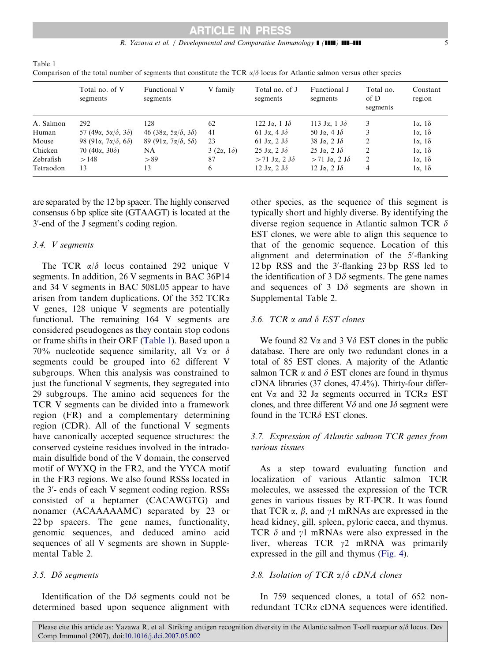## R. Yazawa et al. / Developmental and Comparative Immunology  $\blacksquare$  (IIII) III-III 5

|           | Total no. of V<br>segments                         | <b>Functional V</b><br>segments                    | V family              | Total no. of J<br>segments                 | Functional J<br>segments                   | Total no.<br>of D<br>segments | Constant<br>region    |
|-----------|----------------------------------------------------|----------------------------------------------------|-----------------------|--------------------------------------------|--------------------------------------------|-------------------------------|-----------------------|
| A. Salmon | 292                                                | 128                                                | 62                    | 122 Ja, 1 J $\delta$                       | 113 Ja, 1 J $\delta$                       | 3                             | $1\alpha$ , $1\delta$ |
| Human     | 57 (49 $\alpha$ , 5 $\alpha/\delta$ , 3 $\delta$ ) | 46 (38 $\alpha$ , 5 $\alpha/\delta$ , 3 $\delta$ ) | 41                    | 61 Ja, 4 J $\delta$                        | 50 J $\alpha$ , 4 J $\delta$               |                               | $1\alpha$ , $1\delta$ |
| Mouse     | 98 (91 $\alpha$ , 7 $\alpha/\delta$ , 6 $\delta$ ) | 89 (91 $\alpha$ , 7 $\alpha/\delta$ , 5 $\delta$ ) | 23                    | 61 Ja, 2 J $\delta$                        | 38 Ja, 2 J $\delta$                        | 2                             | $1\alpha$ , $1\delta$ |
| Chicken   | 70 (40 $\alpha$ , 30 $\delta$ )                    | NA                                                 | $3(2\alpha, 1\delta)$ | 25 Ja, 2 J $\delta$                        | $25 \text{ J}\alpha$ , $2 \text{ J}\delta$ | 2                             | $1\alpha$ , $1\delta$ |
| Zebrafish | >148                                               | > 89                                               | 87                    | $> 71$ Ja, 2 J $\delta$                    | $> 71$ Ja, 2 J $\delta$                    | $\overline{c}$                | $1\alpha$ , $1\delta$ |
| Tetraodon | 13                                                 | 13                                                 | 6                     | $12 \text{ J}\alpha$ , $2 \text{ J}\delta$ | $12 \text{ J}\alpha$ , $2 \text{ J}\delta$ | 4                             | $1\alpha$ , $1\delta$ |

Comparison of the total number of segments that constitute the TCR  $\alpha/\delta$  locus for Atlantic salmon versus other species

are separated by the 12 bp spacer. The highly conserved consensus 6 bp splice site (GTAAGT) is located at the 3'-end of the J segment's coding region.

## 3.4. V segments

<span id="page-4-0"></span>Table 1

The TCR  $\alpha/\delta$  locus contained 292 unique V segments. In addition, 26 V segments in BAC 36P14 and 34 V segments in BAC 508L05 appear to have arisen from tandem duplications. Of the 352 TCRa V genes, 128 unique V segments are potentially functional. The remaining 164 V segments are considered pseudogenes as they contain stop codons or frame shifts in their ORF (Table 1). Based upon a 70% nucleotide sequence similarity, all V $\alpha$  or  $\delta$ segments could be grouped into 62 different V subgroups. When this analysis was constrained to just the functional V segments, they segregated into 29 subgroups. The amino acid sequences for the TCR V segments can be divided into a framework region (FR) and a complementary determining region (CDR). All of the functional V segments have canonically accepted sequence structures: the conserved cysteine residues involved in the intradomain disulfide bond of the V domain, the conserved motif of WYXQ in the FR2, and the YYCA motif in the FR3 regions. We also found RSSs located in the 3'- ends of each V segment coding region. RSSs consisted of a heptamer (CACAWGTG) and nonamer (ACAAAAAMC) separated by 23 or 22 bp spacers. The gene names, functionality, genomic sequences, and deduced amino acid sequences of all V segments are shown in Supplemental Table 2.

## 3.5.  $D\delta$  segments

Identification of the  $D\delta$  segments could not be determined based upon sequence alignment with

other species, as the sequence of this segment is typically short and highly diverse. By identifying the diverse region sequence in Atlantic salmon TCR  $\delta$ EST clones, we were able to align this sequence to that of the genomic sequence. Location of this alignment and determination of the 5'-flanking 12 bp RSS and the 3'-flanking 23 bp RSS led to the identification of 3  $D\delta$  segments. The gene names and sequences of 3  $D\delta$  segments are shown in Supplemental Table 2.

## 3.6. TCR  $\alpha$  and  $\delta$  EST clones

We found 82 V $\alpha$  and 3 V $\delta$  EST clones in the public database. There are only two redundant clones in a total of 85 EST clones. A majority of the Atlantic salmon TCR  $\alpha$  and  $\delta$  EST clones are found in thymus cDNA libraries (37 clones, 47.4%). Thirty-four different V $\alpha$  and 32 J $\alpha$  segments occurred in TCR $\alpha$  EST clones, and three different  $V\delta$  and one J $\delta$  segment were found in the  $TCR\delta$  EST clones.

# 3.7. Expression of Atlantic salmon TCR genes from various tissues

As a step toward evaluating function and localization of various Atlantic salmon TCR molecules, we assessed the expression of the TCR genes in various tissues by RT-PCR. It was found that TCR  $\alpha$ ,  $\beta$ , and  $\gamma$ 1 mRNAs are expressed in the head kidney, gill, spleen, pyloric caeca, and thymus. TCR  $\delta$  and  $\gamma$ 1 mRNAs were also expressed in the liver, whereas TCR  $\gamma$ 2 mRNA was primarily expressed in the gill and thymus ([Fig. 4](#page-5-0)).

## 3.8. Isolation of TCR  $\alpha/\delta$  cDNA clones

In 759 sequenced clones, a total of 652 nonredundant TCRa cDNA sequences were identified.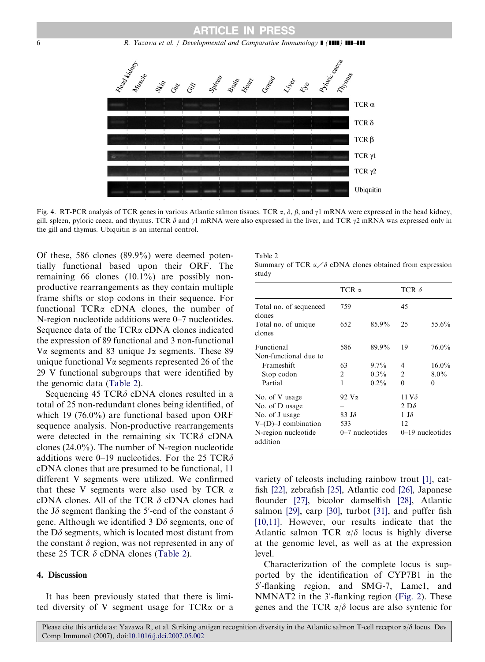<span id="page-5-0"></span>6 R. Yazawa et al. / Developmental and Comparative Immunology **1 (1111) 111-111** 



Fig. 4. RT-PCR analysis of TCR genes in various Atlantic salmon tissues. TCR  $\alpha$ ,  $\delta$ ,  $\beta$ , and  $\gamma$ 1 mRNA were expressed in the head kidney, gill, spleen, pyloric caeca, and thymus. TCR  $\delta$  and  $\gamma$ 1 mRNA were also expressed in the liver, and TCR  $\gamma$ 2 mRNA was expressed only in the gill and thymus. Ubiquitin is an internal control.

Of these, 586 clones (89.9%) were deemed potentially functional based upon their ORF. The remaining 66 clones (10.1%) are possibly nonproductive rearrangements as they contain multiple frame shifts or stop codons in their sequence. For functional TCR<sub> $\alpha$ </sub> cDNA clones, the number of N-region nucleotide additions were 0–7 nucleotides. Sequence data of the TCR $\alpha$  cDNA clones indicated the expression of 89 functional and 3 non-functional V $\alpha$  segments and 83 unique J $\alpha$  segments. These 89 unique functional  $V\alpha$  segments represented 26 of the 29 V functional subgroups that were identified by the genomic data (Table 2).

Sequencing 45 TCR $\delta$  cDNA clones resulted in a total of 25 non-redundant clones being identified, of which 19 (76.0%) are functional based upon ORF sequence analysis. Non-productive rearrangements were detected in the remaining six  $TCR\delta$  cDNA clones (24.0%). The number of N-region nucleotide additions were 0–19 nucleotides. For the 25 TCR $\delta$ cDNA clones that are presumed to be functional, 11 different V segments were utilized. We confirmed that these V segments were also used by TCR  $\alpha$ cDNA clones. All of the TCR  $\delta$  cDNA clones had the J $\delta$  segment flanking the 5'-end of the constant  $\delta$ gene. Although we identified 3  $D\delta$  segments, one of the  $D\delta$  segments, which is located most distant from the constant  $\delta$  region, was not represented in any of these 25 TCR  $\delta$  cDNA clones (Table 2).

## 4. Discussion

It has been previously stated that there is limited diversity of V segment usage for  $TCR\alpha$  or a

| Table 2                                                                 |  |  |
|-------------------------------------------------------------------------|--|--|
| Summary of TCR $\alpha$ / $\delta$ cDNA clones obtained from expression |  |  |
| study                                                                   |  |  |

|                                            | $TCR \alpha$  |                   | TCR $\delta$   |                    |
|--------------------------------------------|---------------|-------------------|----------------|--------------------|
| Total no. of sequenced<br>clones           | 759           |                   | 45             |                    |
| Total no. of unique<br>clones              | 652           | 85.9%             | 25             | 55.6%              |
| <b>Functional</b><br>Non-functional due to | 586           | 89.9%             | 19             | 76.0%              |
| Frameshift                                 | 63            | $9.7\%$           | 4              | $16.0\%$           |
| Stop codon                                 | 2             | $0.3\%$           | $\mathfrak{D}$ | $8.0\%$            |
| Partial                                    | 1             | $0.2\%$           | 0              | 0                  |
| No. of V usage                             | 92 V $\alpha$ |                   | 11 V $\delta$  |                    |
| No. of D usage                             |               |                   | 2 D $\delta$   |                    |
| No. of J usage                             | 83 JS         |                   | $1 J\delta$    |                    |
| $V–(D)–J$ combination                      | 533           |                   | 12             |                    |
| N-region nucleotide<br>addition            |               | $0-7$ nucleotides |                | $0-19$ nucleotides |

variety of teleosts including rainbow trout [\[1\],](#page-8-0) catfish [\[22\]](#page-9-0), zebrafish [\[25\],](#page-9-0) Atlantic cod [\[26\]](#page-9-0), Japanese flounder [\[27\]](#page-9-0), bicolor damselfish [\[28\]](#page-9-0), Atlantic salmon [\[29\],](#page-9-0) carp [\[30\],](#page-9-0) turbot [\[31\]](#page-9-0), and puffer fish [\[10,11\]](#page-9-0). However, our results indicate that the Atlantic salmon TCR  $\alpha/\delta$  locus is highly diverse at the genomic level, as well as at the expression level.

Characterization of the complete locus is supported by the identification of CYP7B1 in the 5'-flanking region, and SMG-7, Lamc1, and NMNAT2 in the 3'-flanking region [\(Fig. 2\)](#page-3-0). These genes and the TCR  $\alpha/\delta$  locus are also syntenic for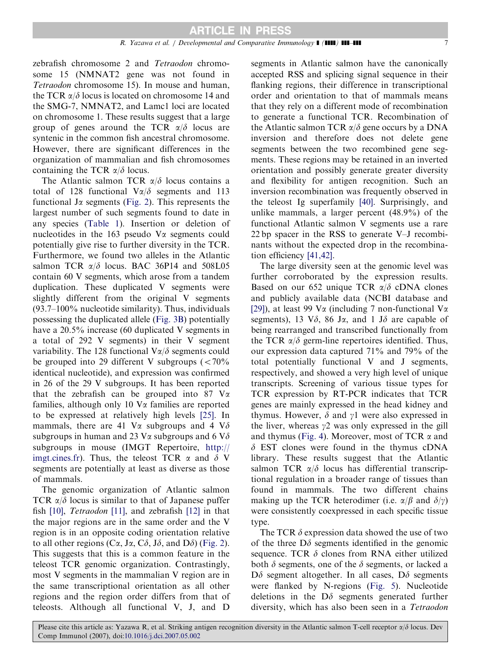zebrafish chromosome 2 and Tetraodon chromosome 15 (NMNAT2 gene was not found in Tetraodon chromosome 15). In mouse and human, the TCR  $\alpha/\delta$  locus is located on chromosome 14 and the SMG-7, NMNAT2, and Lamc1 loci are located on chromosome 1. These results suggest that a large group of genes around the TCR  $\alpha/\delta$  locus are syntenic in the common fish ancestral chromosome. However, there are significant differences in the organization of mammalian and fish chromosomes containing the TCR  $\alpha/\delta$  locus.

The Atlantic salmon TCR  $\alpha/\delta$  locus contains a total of 128 functional  $V\alpha/\delta$  segments and 113 functional J $\alpha$  segments ([Fig. 2](#page-3-0)). This represents the largest number of such segments found to date in any species [\(Table 1](#page-4-0)). Insertion or deletion of nucleotides in the 163 pseudo  $V_{\alpha}$  segments could potentially give rise to further diversity in the TCR. Furthermore, we found two alleles in the Atlantic salmon TCR  $\alpha/\delta$  locus. BAC 36P14 and 508L05 contain 60 V segments, which arose from a tandem duplication. These duplicated V segments were slightly different from the original V segments (93.7–100% nucleotide similarity). Thus, individuals possessing the duplicated allele ([Fig. 3B](#page-3-0)) potentially have a 20.5% increase (60 duplicated V segments in a total of 292 V segments) in their V segment variability. The 128 functional  $V\alpha/\delta$  segments could be grouped into 29 different V subgroups  $\left($  < 70% identical nucleotide), and expression was confirmed in 26 of the 29 V subgroups. It has been reported that the zebrafish can be grouped into 87  $V\alpha$ families, although only 10  $V\alpha$  families are reported to be expressed at relatively high levels [\[25\]](#page-9-0). In mammals, there are 41 V $\alpha$  subgroups and 4 V $\delta$ subgroups in human and 23 V $\alpha$  subgroups and 6 V $\delta$ subgroups in mouse (IMGT Repertoire, [http://](http://imgt.cines.fr) [imgt.cines.fr](http://imgt.cines.fr)). Thus, the teleost TCR  $\alpha$  and  $\delta$  V segments are potentially at least as diverse as those of mammals.

The genomic organization of Atlantic salmon TCR  $\alpha/\delta$  locus is similar to that of Japanese puffer fish [\[10\]](#page-9-0), Tetraodon [\[11\]](#page-9-0), and zebrafish [\[12\]](#page-9-0) in that the major regions are in the same order and the V region is in an opposite coding orientation relative to all other regions (C $\alpha$ , J $\alpha$ , C $\delta$ , J $\delta$ , and D $\delta$ ) [\(Fig. 2](#page-3-0)). This suggests that this is a common feature in the teleost TCR genomic organization. Contrastingly, most V segments in the mammalian V region are in the same transcriptional orientation as all other regions and the region order differs from that of teleosts. Although all functional V, J, and D

segments in Atlantic salmon have the canonically accepted RSS and splicing signal sequence in their flanking regions, their difference in transcriptional order and orientation to that of mammals means that they rely on a different mode of recombination to generate a functional TCR. Recombination of the Atlantic salmon TCR  $\alpha/\delta$  gene occurs by a DNA inversion and therefore does not delete gene segments between the two recombined gene segments. These regions may be retained in an inverted orientation and possibly generate greater diversity and flexibility for antigen recognition. Such an inversion recombination was frequently observed in the teleost Ig superfamily [\[40\].](#page-9-0) Surprisingly, and unlike mammals, a larger percent (48.9%) of the functional Atlantic salmon V segments use a rare 22 bp spacer in the RSS to generate V–J recombinants without the expected drop in the recombination efficiency [\[41,42\]](#page-9-0).

The large diversity seen at the genomic level was further corroborated by the expression results. Based on our 652 unique TCR  $\alpha/\delta$  cDNA clones and publicly available data (NCBI database and [\[29\]](#page-9-0)), at least 99 V $\alpha$  (including 7 non-functional V $\alpha$ segments), 13 V $\delta$ , 86 J $\alpha$ , and 1 J $\delta$  are capable of being rearranged and transcribed functionally from the TCR  $\alpha/\delta$  germ-line repertoires identified. Thus, our expression data captured 71% and 79% of the total potentially functional V and J segments, respectively, and showed a very high level of unique transcripts. Screening of various tissue types for TCR expression by RT-PCR indicates that TCR genes are mainly expressed in the head kidney and thymus. However,  $\delta$  and  $\gamma$ 1 were also expressed in the liver, whereas  $\gamma$ 2 was only expressed in the gill and thymus [\(Fig. 4](#page-5-0)). Moreover, most of TCR  $\alpha$  and  $\delta$  EST clones were found in the thymus cDNA library. These results suggest that the Atlantic salmon TCR  $\alpha/\delta$  locus has differential transcriptional regulation in a broader range of tissues than found in mammals. The two different chains making up the TCR heterodimer (i.e.  $\alpha/\beta$  and  $\delta/\gamma$ ) were consistently coexpressed in each specific tissue type.

The TCR  $\delta$  expression data showed the use of two of the three  $D\delta$  segments identified in the genomic sequence. TCR  $\delta$  clones from RNA either utilized both  $\delta$  segments, one of the  $\delta$  segments, or lacked a  $D\delta$  segment altogether. In all cases,  $D\delta$  segments were flanked by N-regions [\(Fig. 5\)](#page-7-0). Nucleotide deletions in the  $D\delta$  segments generated further diversity, which has also been seen in a Tetraodon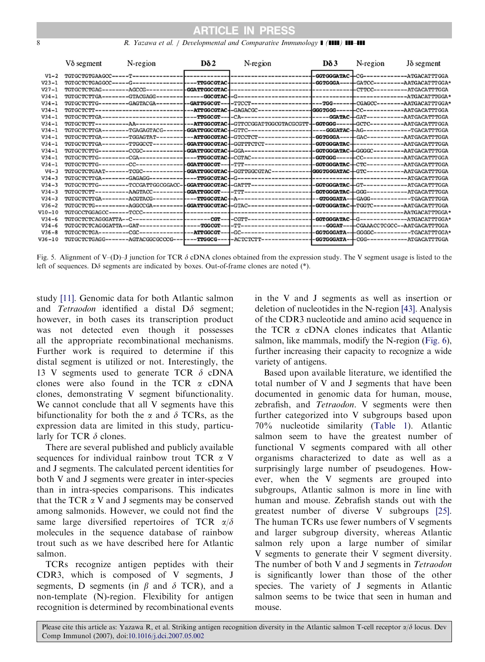<span id="page-7-0"></span>8 R. Yazawa et al. / Developmental and Comparative Immunology **1 (1111) 111-111** 

|            | $V\delta$ segment | N-region | Dδ <sub>2</sub> | N-region                                                                                                                          | Dδ3 | N-region                                | $J\delta$ segment |
|------------|-------------------|----------|-----------------|-----------------------------------------------------------------------------------------------------------------------------------|-----|-----------------------------------------|-------------------|
| $V1-2$     |                   |          |                 |                                                                                                                                   |     |                                         |                   |
| $V23 - 1$  |                   |          |                 |                                                                                                                                   |     |                                         |                   |
| $V27 - 1$  |                   |          |                 |                                                                                                                                   |     |                                         |                   |
| $V34 - 1$  |                   |          |                 |                                                                                                                                   |     |                                         |                   |
| $V34 - 1$  |                   |          |                 |                                                                                                                                   |     |                                         |                   |
| $V34 - 1$  |                   |          |                 |                                                                                                                                   |     |                                         |                   |
| $V34 - 1$  |                   |          |                 |                                                                                                                                   |     |                                         |                   |
| $V34 - 1$  |                   |          |                 |                                                                                                                                   |     |                                         |                   |
| $V34 - 1$  |                   |          |                 |                                                                                                                                   |     |                                         |                   |
| $V34 - 1$  |                   |          |                 |                                                                                                                                   |     |                                         |                   |
| $V34 - 1$  |                   |          |                 |                                                                                                                                   |     |                                         |                   |
| $V34 - 1$  |                   |          |                 |                                                                                                                                   |     |                                         |                   |
| $V34 - 1$  |                   |          |                 |                                                                                                                                   |     |                                         |                   |
| $V34 - 1$  |                   |          |                 |                                                                                                                                   |     |                                         |                   |
| $V4 - 3$   |                   |          |                 | TGTGCTCTGAAT-------TCGC----------- <b> GGATTGGCGTAC-</b> -GGTTGGCGTAC---------- <b>--GGGTGGGATAC--</b> GTC----------AATGACATTTGGA |     |                                         |                   |
| $V34 - 3$  |                   |          |                 |                                                                                                                                   |     |                                         |                   |
| $V34 - 3$  |                   |          |                 |                                                                                                                                   |     |                                         |                   |
| $V34 - 3$  |                   |          |                 |                                                                                                                                   |     |                                         |                   |
| $V34 - 3$  |                   |          |                 |                                                                                                                                   |     |                                         |                   |
| $V36 - 2$  |                   |          |                 |                                                                                                                                   |     |                                         |                   |
| $V10 - 10$ |                   |          |                 |                                                                                                                                   |     |                                         |                   |
| $V34-6$    |                   |          |                 |                                                                                                                                   |     |                                         |                   |
| $V34-6$    |                   |          |                 |                                                                                                                                   |     |                                         |                   |
| $V36 - 8$  |                   |          |                 |                                                                                                                                   |     |                                         |                   |
| V36-10     |                   |          |                 |                                                                                                                                   |     | -GGTGGGATA-+CGG------------ATGACATTTGGA |                   |
|            |                   |          |                 |                                                                                                                                   |     |                                         |                   |

Fig. 5. Alignment of V–(D)–J junction for TCR  $\delta$  cDNA clones obtained from the expression study. The V segment usage is listed to the left of sequences. D $\delta$  segments are indicated by boxes. Out-of-frame clones are noted (\*).

study [\[11\]](#page-9-0). Genomic data for both Atlantic salmon and Tetraodon identified a distal  $D\delta$  segment; however, in both cases its transcription product was not detected even though it possesses all the appropriate recombinational mechanisms. Further work is required to determine if this distal segment is utilized or not. Interestingly, the 13 V segments used to generate TCR  $\delta$  cDNA clones were also found in the TCR  $\alpha$  cDNA clones, demonstrating V segment bifunctionality. We cannot conclude that all V segments have this bifunctionality for both the  $\alpha$  and  $\delta$  TCRs, as the expression data are limited in this study, particularly for TCR  $\delta$  clones.

There are several published and publicly available sequences for individual rainbow trout TCR a V and J segments. The calculated percent identities for both V and J segments were greater in inter-species than in intra-species comparisons. This indicates that the TCR  $\alpha$  V and J segments may be conserved among salmonids. However, we could not find the same large diversified repertoires of TCR  $\alpha/\delta$ molecules in the sequence database of rainbow trout such as we have described here for Atlantic salmon.

TCRs recognize antigen peptides with their CDR3, which is composed of V segments, J segments, D segments (in  $\beta$  and  $\delta$  TCR), and a non-template (N)-region. Flexibility for antigen recognition is determined by recombinational events in the V and J segments as well as insertion or deletion of nucleotides in the N-region [\[43\]](#page-9-0). Analysis of the CDR3 nucleotide and amino acid sequence in the TCR  $\alpha$  cDNA clones indicates that Atlantic salmon, like mammals, modify the N-region [\(Fig. 6](#page-8-0)), further increasing their capacity to recognize a wide variety of antigens.

Based upon available literature, we identified the total number of V and J segments that have been documented in genomic data for human, mouse, zebrafish, and Tetraodon. V segments were then further categorized into V subgroups based upon 70% nucleotide similarity ([Table 1\)](#page-4-0). Atlantic salmon seem to have the greatest number of functional V segments compared with all other organisms characterized to date as well as a surprisingly large number of pseudogenes. However, when the V segments are grouped into subgroups, Atlantic salmon is more in line with human and mouse. Zebrafish stands out with the greatest number of diverse V subgroups [\[25\].](#page-9-0) The human TCRs use fewer numbers of V segments and larger subgroup diversity, whereas Atlantic salmon rely upon a large number of similar V segments to generate their V segment diversity. The number of both V and J segments in Tetraodon is significantly lower than those of the other species. The variety of J segments in Atlantic salmon seems to be twice that seen in human and mouse.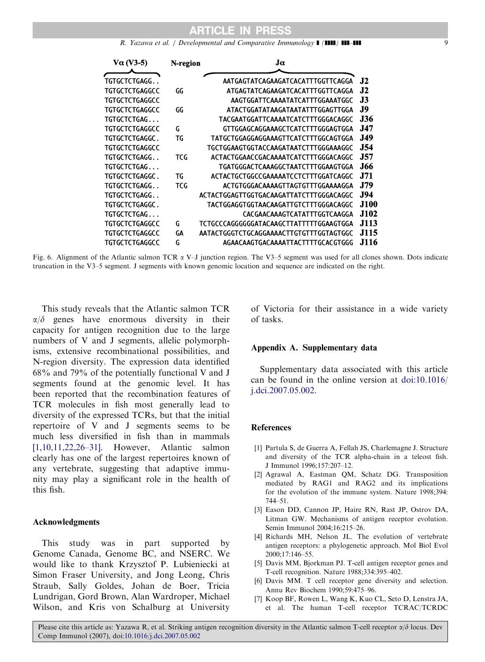R. Yazawa et al. / Developmental and Comparative Immunology  $\blacksquare$  ( $\blacksquare\blacksquare\blacksquare$ )  $\blacksquare\blacksquare\blacksquare\blacksquare$ 

<span id="page-8-0"></span>

|             | Jα                                      | N-region | $Va$ (V3-5)           |
|-------------|-----------------------------------------|----------|-----------------------|
| <b>J2</b>   | AATGAGTATCAGAAGATCACATTTGGTTCAGGA       |          | TGTGCTCTGAGG. .       |
| J2          | ATGAGTATCAGAAGATCACATTTGGTTCAGGA        | GG       | TGTGCTCTGAGGCC        |
| J3          | AAGTGGATTCAAAATATCATTTGGAAATGGC         |          | TGTGCTCTGAGGCC        |
| J9          | ATACTGGATATAAGATAATATTTGGAGTTGGA        | GG       | TGTGCTCTGAGGCC        |
| J36.        | TACGAATGGATTCAAAATCATCTTTGGGACAGGC      |          | TGTGCTCTGAG           |
| J47.        | GTTGGAGCAGGAAAGCTCATCTTTGGGAGTGGA       | G        | TGTGCTCTGAGGCC        |
| <b>J49</b>  | TATGCTGGAGGAGGAAAGTTCATCTTTGGCAGTGGA    | TG       | TGTGCTCTGAGGC.        |
| <b>J54</b>  | TGCTGGAAGTGGTACCAAGATAATCTTTGGGAAAGGC   |          | TGTGCTCTGAGGCC        |
| <b>J57</b>  | ACTACTGGAACCGACAAAATCATCTTTGGGACAGGC    | TCG      | TGTGCTCTGAGG. .       |
| .166        | TGATGGGACTCAAAGGCTAATCTTTGGAAGTGGA      |          | TGTGCTCTGAG           |
| J71         | ACTACTGCTGGCCGAAAAATCCTCTTTGGATCAGGC    | TG       | TGTGCTCTGAGGC .       |
| J79         | ACTGTGGGACAAAAGTTAGTGTTTGGAAAAGGA       | TCG      | TGTGCTCTGAGG. .       |
| <b>J94</b>  | ACTACTGGAGTTGGTGACAAGATTATCTTTGGGACAGGC |          | TGTGCTCTGAGG. .       |
| J100        | TACTGGAGGTGGTAACAAGATTGTCTTTGGGACAGGC   |          | <b>TGTGCTCTGAGGC.</b> |
| J102        | CACGAACAAAGTCATATTTGGTCAAGGA            |          | TGTGCTCTGAG           |
| <b>J113</b> | TCTGCCCAGGGGGGATACAAGCTTATTTTTGGAAGTGGA | G        | TGTGCTCTGAGGCC        |
| J115        | AATACTGGGTCTGCAGGAAAACTTGTGTTTGGTAGTGGC | GΑ       | TGTGCTCTGAGGCC        |
| J116.       | AGAACAAGTGACAAAATTACTTTTGCACGTGGG       | G        | TGTGCTCTGAGGCC        |
|             |                                         |          |                       |

Fig. 6. Alignment of the Atlantic salmon TCR  $\alpha$  V–J junction region. The V3–5 segment was used for all clones shown. Dots indicate truncation in the V3–5 segment. J segments with known genomic location and sequence are indicated on the right.

This study reveals that the Atlantic salmon TCR  $\alpha/\delta$  genes have enormous diversity in their capacity for antigen recognition due to the large numbers of V and J segments, allelic polymorphisms, extensive recombinational possibilities, and N-region diversity. The expression data identified 68% and 79% of the potentially functional V and J segments found at the genomic level. It has been reported that the recombination features of TCR molecules in fish most generally lead to diversity of the expressed TCRs, but that the initial repertoire of V and J segments seems to be much less diversified in fish than in mammals [1,10,11,22,26–31]. However, Atlantic salmon clearly has one of the largest repertoires known of any vertebrate, suggesting that adaptive immunity may play a significant role in the health of this fish.

## Acknowledgments

This study was in part supported by Genome Canada, Genome BC, and NSERC. We would like to thank Krzysztof P. Lubieniecki at Simon Fraser University, and Jong Leong, Chris Straub, Sally Goldes, Johan de Boer, Tricia Lundrigan, Gord Brown, Alan Wardroper, Michael Wilson, and Kris von Schalburg at University of Victoria for their assistance in a wide variety of tasks.

#### Appendix A. Supplementary data

Supplementary data associated with this article can be found in the online version at [doi:10.1016/](dx.doi.org/10.1016/j.dci.2007.05.002) [j.dci.2007.05.002.](dx.doi.org/10.1016/j.dci.2007.05.002)

## References

- [1] Partula S, de Guerra A, Fellah JS, Charlemagne J. Structure and diversity of the TCR alpha-chain in a teleost fish. J Immunol 1996;157:207–12.
- [2] Agrawal A, Eastman QM, Schatz DG. Transposition mediated by RAG1 and RAG2 and its implications for the evolution of the immune system. Nature 1998;394: 744–51.
- [3] Eason DD, Cannon JP, Haire RN, Rast JP, Ostrov DA, Litman GW. Mechanisms of antigen receptor evolution. Semin Immunol 2004;16:215–26.
- [4] Richards MH, Nelson JL. The evolution of vertebrate antigen receptors: a phylogenetic approach. Mol Biol Evol 2000;17:146–55.
- [5] Davis MM, Bjorkman PJ. T-cell antigen receptor genes and T-cell recognition. Nature 1988;334:395–402.
- [6] Davis MM. T cell receptor gene diversity and selection. Annu Rev Biochem 1990;59:475–96.
- [7] Koop BF, Rowen L, Wang K, Kuo CL, Seto D, Lenstra JA, et al. The human T-cell receptor TCRAC/TCRDC